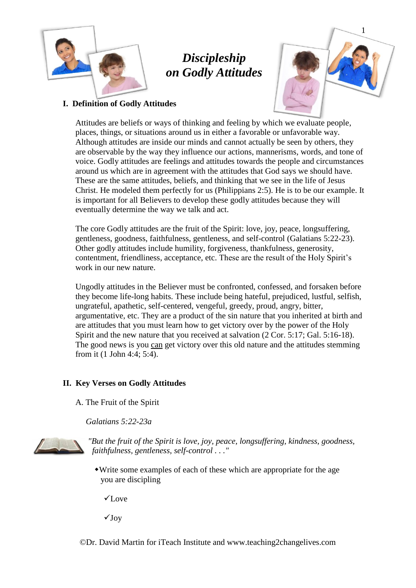

# *Discipleship on Godly Attitudes*



## **I. Definition of Godly Attitudes**

Attitudes are beliefs or ways of thinking and feeling by which we evaluate people, places, things, or situations around us in either a favorable or unfavorable way. Although attitudes are inside our minds and cannot actually be seen by others, they are observable by the way they influence our actions, mannerisms, words, and tone of voice. Godly attitudes are feelings and attitudes towards the people and circumstances around us which are in agreement with the attitudes that God says we should have. These are the same attitudes, beliefs, and thinking that we see in the life of Jesus Christ. He modeled them perfectly for us (Philippians 2:5). He is to be our example. It is important for all Believers to develop these godly attitudes because they will eventually determine the way we talk and act.

The core Godly attitudes are the fruit of the Spirit: love, joy, peace, longsuffering, gentleness, goodness, faithfulness, gentleness, and self-control (Galatians 5:22-23). Other godly attitudes include humility, forgiveness, thankfulness, generosity, contentment, friendliness, acceptance, etc. These are the result of the Holy Spirit's work in our new nature.

Ungodly attitudes in the Believer must be confronted, confessed, and forsaken before they become life-long habits. These include being hateful, prejudiced, lustful, selfish, ungrateful, apathetic, self-centered, vengeful, greedy, proud, angry, bitter, argumentative, etc. They are a product of the sin nature that you inherited at birth and are attitudes that you must learn how to get victory over by the power of the Holy Spirit and the new nature that you received at salvation (2 Cor. 5:17; Gal. 5:16-18). The good news is you can get victory over this old nature and the attitudes stemming from it (1 John 4:4; 5:4).

## **II. Key Verses on Godly Attitudes**

A. The Fruit of the Spirit

*Galatians 5:22-23a*



*"But the fruit of the Spirit is love, joy, peace, longsuffering, kindness, goodness, faithfulness, gentleness, self-control . . ."*

Write some examples of each of these which are appropriate for the age you are discipling

 $\checkmark$ Love

 $\sqrt{J_{\rm OV}}$ 

©Dr. David Martin for iTeach Institute and www.teaching2changelives.com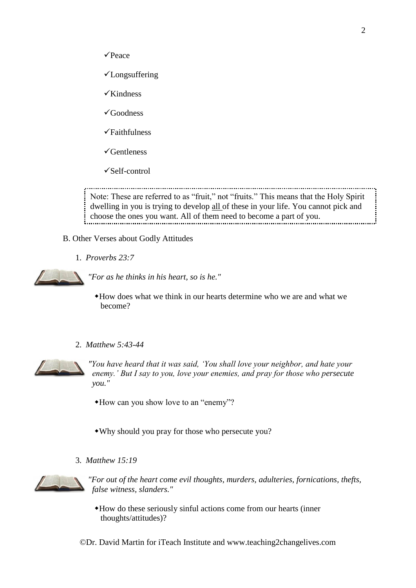

- ✓Longsuffering
- $\checkmark$ Kindness
- ✓Goodness
- ✓Faithfulness
- ✓Gentleness
- ✓Self-control

Note: These are referred to as "fruit," not "fruits." This means that the Holy Spirit dwelling in you is trying to develop all of these in your life. You cannot pick and choose the ones you want. All of them need to become a part of you.

- B. Other Verses about Godly Attitudes
	- 1. *Proverbs 23:7*



*"For as he thinks in his heart, so is he."*

- How does what we think in our hearts determine who we are and what we become?
- 2. *Matthew 5:43-44*



*"You have heard that it was said, 'You shall love your neighbor, and hate your enemy.' But I say to you, love your enemies, and pray for those who persecute you."*

How can you show love to an "enemy"?

- Why should you pray for those who persecute you?
- 3. *Matthew 15:19*



*"For out of the heart come evil thoughts, murders, adulteries, fornications, thefts, false witness, slanders."*

- How do these seriously sinful actions come from our hearts (inner thoughts/attitudes)?
- ©Dr. David Martin for iTeach Institute and www.teaching2changelives.com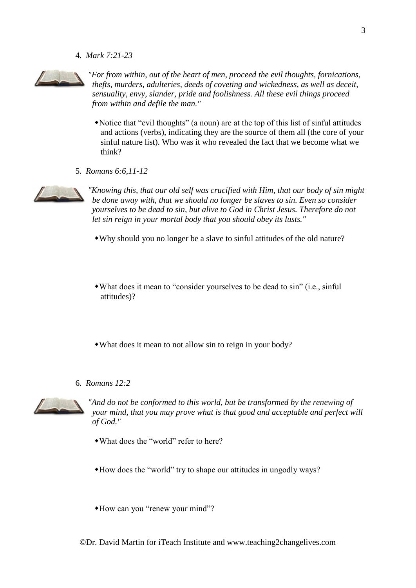4. *Mark 7:21-23*



*"For from within, out of the heart of men, proceed the evil thoughts, fornications, thefts, murders, adulteries, deeds of coveting and wickedness, as well as deceit, sensuality, envy, slander, pride and foolishness. All these evil things proceed from within and defile the man."*

- Notice that "evil thoughts" (a noun) are at the top of this list of sinful attitudes and actions (verbs), indicating they are the source of them all (the core of your sinful nature list). Who was it who revealed the fact that we become what we think?
- 5. *Romans 6:6,11-12*



*"Knowing this, that our old self was crucified with Him, that our body of sin might be done away with, that we should no longer be slaves to sin. Even so consider yourselves to be dead to sin, but alive to God in Christ Jesus. Therefore do not let sin reign in your mortal body that you should obey its lusts."*

- Why should you no longer be a slave to sinful attitudes of the old nature?
- What does it mean to "consider yourselves to be dead to sin" (i.e., sinful attitudes)?
- What does it mean to not allow sin to reign in your body?
- 6. *Romans 12:2*



*"And do not be conformed to this world, but be transformed by the renewing of your mind, that you may prove what is that good and acceptable and perfect will of God."*

- What does the "world" refer to here?
- How does the "world" try to shape our attitudes in ungodly ways?
- How can you "renew your mind"?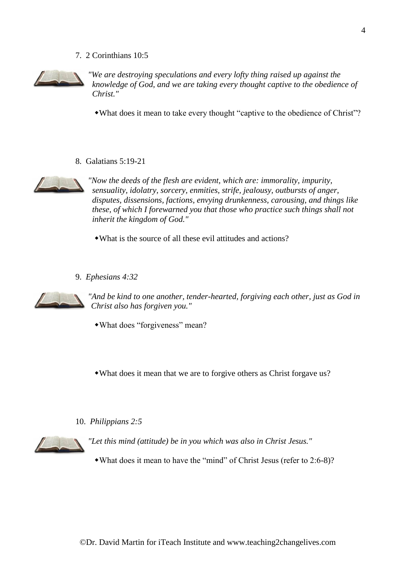#### 7. 2 Corinthians 10:5



*"We are destroying speculations and every lofty thing raised up against the knowledge of God, and we are taking every thought captive to the obedience of Christ."*

What does it mean to take every thought "captive to the obedience of Christ"?

8. Galatians 5:19-21



*"Now the deeds of the flesh are evident, which are: immorality, impurity, sensuality, idolatry, sorcery, enmities, strife, jealousy, outbursts of anger, disputes, dissensions, factions, envying drunkenness, carousing, and things like these, of which I forewarned you that those who practice such things shall not inherit the kingdom of God."*

What is the source of all these evil attitudes and actions?

9. *Ephesians 4:32*



*"And be kind to one another, tender-hearted, forgiving each other, just as God in Christ also has forgiven you."*

What does "forgiveness" mean?

What does it mean that we are to forgive others as Christ forgave us?

10. *Philippians 2:5*



*"Let this mind (attitude) be in you which was also in Christ Jesus."*

What does it mean to have the "mind" of Christ Jesus (refer to 2:6-8)?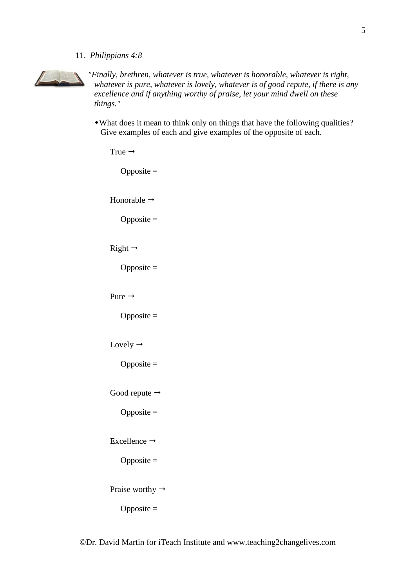11. *Philippians 4:8*



*"Finally, brethren, whatever is true, whatever is honorable, whatever is right, whatever is pure, whatever is lovely, whatever is of good repute, if there is any excellence and if anything worthy of praise, let your mind dwell on these things."*

What does it mean to think only on things that have the following qualities? Give examples of each and give examples of the opposite of each.

| True $\rightarrow$          |
|-----------------------------|
| Opposite $=$                |
| Honorable $\rightarrow$     |
| Opposite $=$                |
| Right $\rightarrow$         |
| Opposite $=$                |
| Pure $\rightarrow$          |
| Opposite $=$                |
| Lovely $\rightarrow$        |
| Opposite $=$                |
| Good repute $\rightarrow$   |
| Opposite $=$                |
| Excellence $\rightarrow$    |
| $Opposite =$                |
| Praise worthy $\rightarrow$ |
| Opposite $=$                |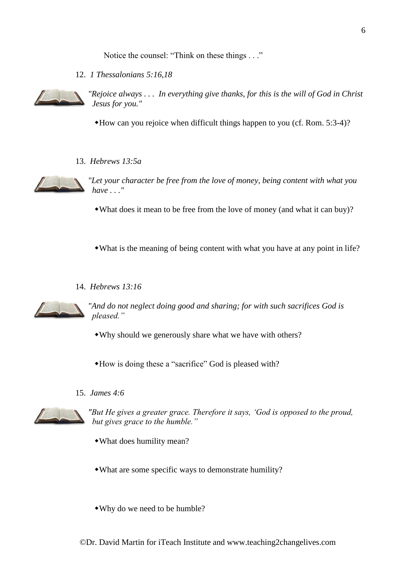Notice the counsel: "Think on these things . . ."

12. *1 Thessalonians 5:16,18*



*"Rejoice always . . . In everything give thanks, for this is the will of God in Christ Jesus for you."*

How can you rejoice when difficult things happen to you (cf. Rom. 5:3-4)?

13. *Hebrews 13:5a*



*"Let your character be free from the love of money, being content with what you have . . ."*

- What does it mean to be free from the love of money (and what it can buy)?
- What is the meaning of being content with what you have at any point in life?
- 14. *Hebrews 13:16*



*"And do not neglect doing good and sharing; for with such sacrifices God is pleased."*

- Why should we generously share what we have with others?
- How is doing these a "sacrifice" God is pleased with?
- 15. *James 4:6*



*"But He gives a greater grace. Therefore it says, 'God is opposed to the proud, but gives grace to the humble."*

- What does humility mean?
- What are some specific ways to demonstrate humility?
- Why do we need to be humble?

©Dr. David Martin for iTeach Institute and www.teaching2changelives.com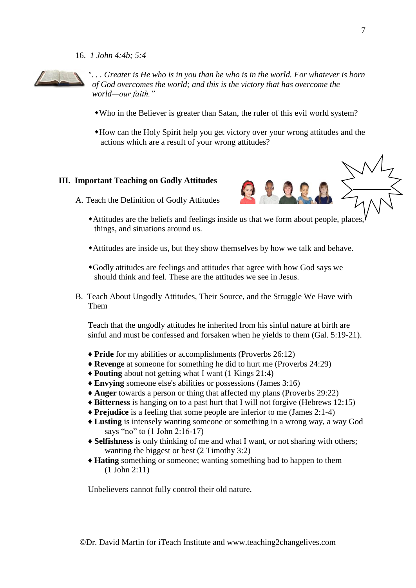16. *1 John 4:4b; 5:4*



*". . . Greater is He who is in you than he who is in the world. For whatever is born of God overcomes the world; and this is the victory that has overcome the world—our faith."*

- Who in the Believer is greater than Satan, the ruler of this evil world system?
- How can the Holy Spirit help you get victory over your wrong attitudes and the actions which are a result of your wrong attitudes?

### **III. Important Teaching on Godly Attitudes**

A. Teach the Definition of Godly Attitudes

- Attitudes are the beliefs and feelings inside us that we form about people, places, things, and situations around us.
- Attitudes are inside us, but they show themselves by how we talk and behave.
- Godly attitudes are feelings and attitudes that agree with how God says we should think and feel. These are the attitudes we see in Jesus.
- B. Teach About Ungodly Attitudes, Their Source, and the Struggle We Have with Them

Teach that the ungodly attitudes he inherited from his sinful nature at birth are sinful and must be confessed and forsaken when he yields to them (Gal. 5:19-21).

- ♦ **Pride** for my abilities or accomplishments (Proverbs 26:12)
- ♦ **Revenge** at someone for something he did to hurt me (Proverbs 24:29)
- ♦ **Pouting** about not getting what I want (1 Kings 21:4)
- ♦ **Envying** someone else's abilities or possessions (James 3:16)
- ♦ **Anger** towards a person or thing that affected my plans (Proverbs 29:22)
- ♦ **Bitterness** is hanging on to a past hurt that I will not forgive (Hebrews 12:15)
- ♦ **Prejudice** is a feeling that some people are inferior to me (James 2:1-4)
- ♦ **Lusting** is intensely wanting someone or something in a wrong way, a way God says "no" to (1 John 2:16-17)
- ♦ **Selfishness** is only thinking of me and what I want, or not sharing with others; wanting the biggest or best (2 Timothy 3:2)
- ♦ **Hating** something or someone; wanting something bad to happen to them (1 John 2:11)

Unbelievers cannot fully control their old nature.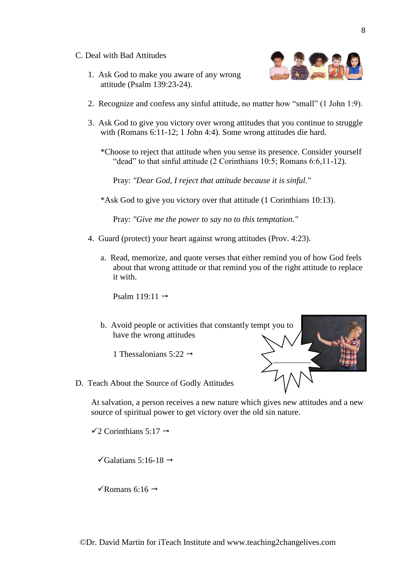- C. Deal with Bad Attitudes
	- 1. Ask God to make you aware of any wrong attitude (Psalm 139:23-24).



- 2. Recognize and confess any sinful attitude, no matter how "small" (1 John 1:9).
- 3. Ask God to give you victory over wrong attitudes that you continue to struggle with (Romans 6:11-12; 1 John 4:4). Some wrong attitudes die hard.
	- \*Choose to reject that attitude when you sense its presence. Consider yourself "dead" to that sinful attitude (2 Corinthians 10:5; Romans 6:6,11-12).

Pray: *"Dear God, I reject that attitude because it is sinful."*

\*Ask God to give you victory over that attitude (1 Corinthians 10:13).

Pray: *"Give me the power to say no to this temptation."*

- 4. Guard (protect) your heart against wrong attitudes (Prov. 4:23).
	- a. Read, memorize, and quote verses that either remind you of how God feels about that wrong attitude or that remind you of the right attitude to replace it with.

Psalm  $119:11 \rightarrow$ 

b. Avoid people or activities that constantly tempt you to have the wrong attitudes

1 Thessalonians  $5:22 \rightarrow$ 

D. Teach About the Source of Godly Attitudes

At salvation, a person receives a new nature which gives new attitudes and a new source of spiritual power to get victory over the old sin nature.

 $\checkmark$ 2 Corinthians 5:17  $\to$ 

 $\checkmark$ Galatians 5:16-18  $\to$ 

 $\sqrt{\text{Romans 6:16}}$   $\rightarrow$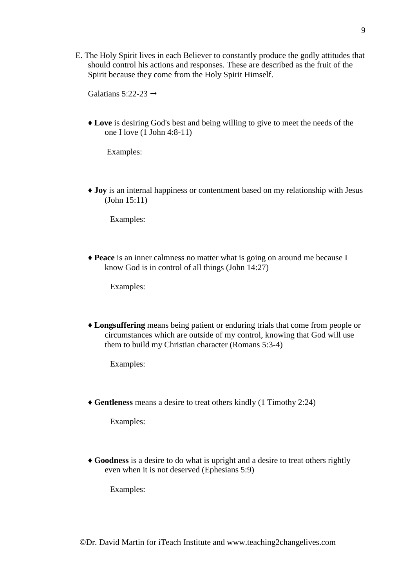E. The Holy Spirit lives in each Believer to constantly produce the godly attitudes that should control his actions and responses. These are described as the fruit of the Spirit because they come from the Holy Spirit Himself.

Galatians 5:22-23  $\rightarrow$ 

♦ **Love** is desiring God's best and being willing to give to meet the needs of the one I love (1 John 4:8-11)

Examples:

♦ **Joy** is an internal happiness or contentment based on my relationship with Jesus (John 15:11)

Examples:

♦ **Peace** is an inner calmness no matter what is going on around me because I know God is in control of all things (John 14:27)

Examples:

♦ **Longsuffering** means being patient or enduring trials that come from people or circumstances which are outside of my control, knowing that God will use them to build my Christian character (Romans 5:3-4)

Examples:

♦ **Gentleness** means a desire to treat others kindly (1 Timothy 2:24)

Examples:

♦ **Goodness** is a desire to do what is upright and a desire to treat others rightly even when it is not deserved (Ephesians 5:9)

Examples: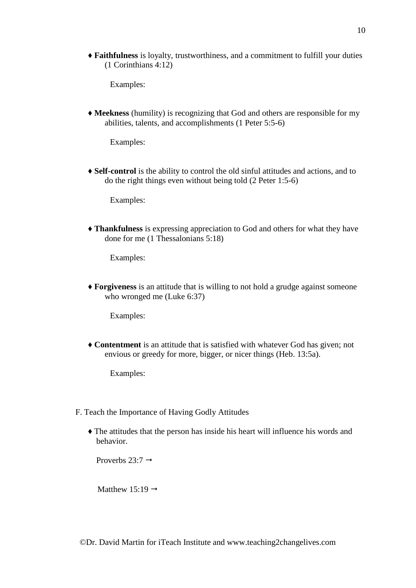♦ **Faithfulness** is loyalty, trustworthiness, and a commitment to fulfill your duties (1 Corinthians 4:12)

Examples:

♦ **Meekness** (humility) is recognizing that God and others are responsible for my abilities, talents, and accomplishments (1 Peter 5:5-6)

Examples:

♦ **Self-control** is the ability to control the old sinful attitudes and actions, and to do the right things even without being told (2 Peter 1:5-6)

Examples:

♦ **Thankfulness** is expressing appreciation to God and others for what they have done for me (1 Thessalonians 5:18)

Examples:

♦ **Forgiveness** is an attitude that is willing to not hold a grudge against someone who wronged me (Luke 6:37)

Examples:

♦ **Contentment** is an attitude that is satisfied with whatever God has given; not envious or greedy for more, bigger, or nicer things (Heb. 13:5a).

Examples:

- F. Teach the Importance of Having Godly Attitudes
	- ♦ The attitudes that the person has inside his heart will influence his words and behavior.

Proverbs  $23:7 \rightarrow$ 

Matthew 15:19  $\rightarrow$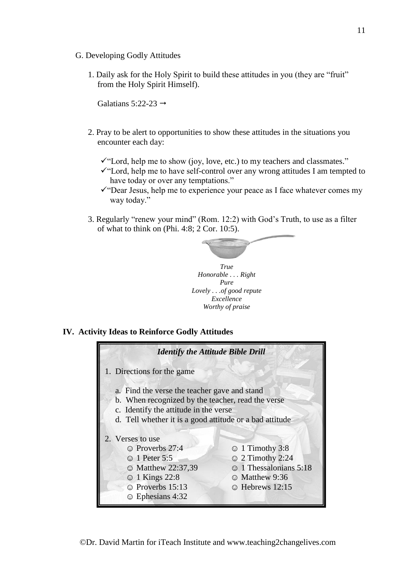- G. Developing Godly Attitudes
	- 1. Daily ask for the Holy Spirit to build these attitudes in you (they are "fruit" from the Holy Spirit Himself).

Galatians  $5:22-23 \rightarrow$ 

- 2. Pray to be alert to opportunities to show these attitudes in the situations you encounter each day:
	- ✓"Lord, help me to show (joy, love, etc.) to my teachers and classmates."
	- ✓"Lord, help me to have self-control over any wrong attitudes I am tempted to have today or over any temptations."
	- $\checkmark$  Tear Jesus, help me to experience your peace as I face whatever comes my way today."
- 3. Regularly "renew your mind" (Rom. 12:2) with God's Truth, to use as a filter of what to think on (Phi. 4:8; 2 Cor. 10:5).



#### **IV. Activity Ideas to Reinforce Godly Attitudes**